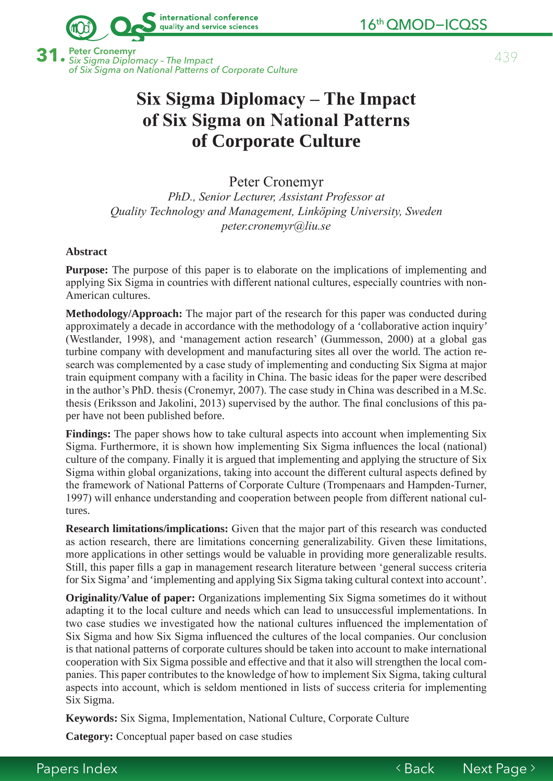

**31.** 439 Peter Cronemyr *Six Sigma Diplomacy – The Impact* of Six Sigma on National Patterns of Corporate Culture

international conference quality and service sciences

# **Six Sigma Diplomacy – The Impact** of Six Sigma on National Patterns **of Corporate Culture**

Peter Cronemyr PhD., Senior Lecturer, Assistant Professor at Quality Technology and Management, Linköping University, Sweden peter.cronemyr@liu.se

### **Abstract**

**Purpose:** The purpose of this paper is to elaborate on the implications of implementing and applying Six Sigma in countries with different national cultures, especially countries with non-American cultures.

**Methodology/Approach:** The major part of the research for this paper was conducted during approximately a decade in accordance with the methodology of a 'collaborative action inquiry' (Westlander, 1998), and 'management action research' (Gummesson, 2000) at a global gas turbine company with development and manufacturing sites all over the world. The action research was complemented by a case study of implementing and conducting Six Sigma at major train equipment company with a facility in China. The basic ideas for the paper were described in the author's PhD. thesis (Cronemyr, 2007). The case study in China was described in a M.Sc. thesis (Eriksson and Jakolini, 2013) supervised by the author. The final conclusions of this paper have not been published before.

Findings: The paper shows how to take cultural aspects into account when implementing Six Sigma. Furthermore, it is shown how implementing Six Sigma influences the local (national) culture of the company. Finally it is argued that implementing and applying the structure of Six Sigma within global organizations, taking into account the different cultural aspects defined by the framework of National Patterns of Corporate Culture (Trompenaars and Hampden-Turner, 1997) will enhance understanding and cooperation between people from different national cultures.

**Research limitations/implications:** Given that the major part of this research was conducted as action research, there are limitations concerning generalizability. Given these limitations, more applications in other settings would be valuable in providing more generalizable results. Still, this paper fills a gap in management research literature between 'general success criteria for Six Sigma' and 'implementing and applying Six Sigma taking cultural context into account'.

**Originality/Value of paper:** Organizations implementing Six Sigma sometimes do it without adapting it to the local culture and needs which can lead to unsuccessful implementations. In two case studies we investigated how the national cultures influenced the implementation of Six Sigma and how Six Sigma influenced the cultures of the local companies. Our conclusion is that national patterns of corporate cultures should be taken into account to make international cooperation with Six Sigma possible and effective and that it also will strengthen the local companies. This paper contributes to the knowledge of how to implement Six Sigma, taking cultural aspects into account, which is seldom mentioned in lists of success criteria for implementing Six Sigma.

**Keywords:** Six Sigma, Implementation, National Culture, Corporate Culture

**Category:** Conceptual paper based on case studies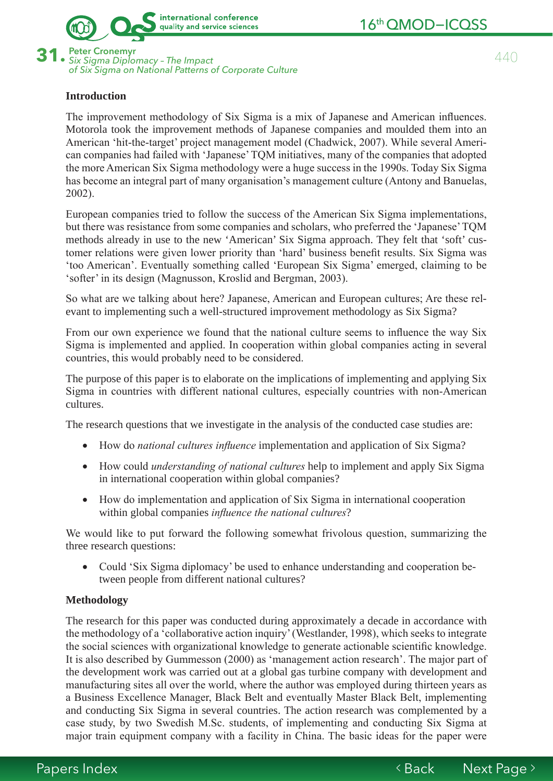

16<sup>th</sup> QMOD-ICQSS

**31.** 440 Peter Cronemyr *Six Sigma Diplomacy – The Impact* of Six Sigma on National Patterns of Corporate Culture

## **Introduction**

The improvement methodology of Six Sigma is a mix of Japanese and American influences. Motorola took the improvement methods of Japanese companies and moulded them into an American 'hit-the-target' project management model (Chadwick, 2007). While several American companies had failed with 'Japanese' TQM initiatives, many of the companies that adopted the more American Six Sigma methodology were a huge success in the 1990s. Today Six Sigma has become an integral part of many organisation's management culture (Antony and Banuelas,  $2002$ ).

European companies tried to follow the success of the American Six Sigma implementations, but there was resistance from some companies and scholars, who preferred the 'Japanese' TQM methods already in use to the new 'American' Six Sigma approach. They felt that 'soft' customer relations were given lower priority than 'hard' business benefit results. Six Sigma was 'too American'. Eventually something called 'European Six Sigma' emerged, claiming to be 'softer' in its design (Magnusson, Kroslid and Bergman, 2003).

So what are we talking about here? Japanese, American and European cultures; Are these relevant to implementing such a well-structured improvement methodology as Six Sigma?

From our own experience we found that the national culture seems to influence the way Six Sigma is implemented and applied. In cooperation within global companies acting in several countries, this would probably need to be considered.

The purpose of this paper is to elaborate on the implications of implementing and applying Six Sigma in countries with different national cultures, especially countries with non-American cultures.

The research questions that we investigate in the analysis of the conducted case studies are:

- How do *national cultures influence* implementation and application of Six Sigma?
- How could *understanding of national cultures* help to implement and apply Six Sigma in international cooperation within global companies?
- How do implementation and application of Six Sigma in international cooperation within global companies *influence the national cultures*?

We would like to put forward the following somewhat frivolous question, summarizing the three research questions:

• Could 'Six Sigma diplomacy' be used to enhance understanding and cooperation between people from different national cultures?

#### **Methodology**

The research for this paper was conducted during approximately a decade in accordance with the methodology of a 'collaborative action inquiry' (Westlander, 1998), which seeks to integrate the social sciences with organizational knowledge to generate actionable scientific knowledge. It is also described by Gummesson (2000) as 'management action research'. The major part of the development work was carried out at a global gas turbine company with development and manufacturing sites all over the world, where the author was employed during thirteen years as a Business Excellence Manager, Black Belt and eventually Master Black Belt, implementing and conducting Six Sigma in several countries. The action research was complemented by a case study, by two Swedish M.Sc. students, of implementing and conducting Six Sigma at major train equipment company with a facility in China. The basic ideas for the paper were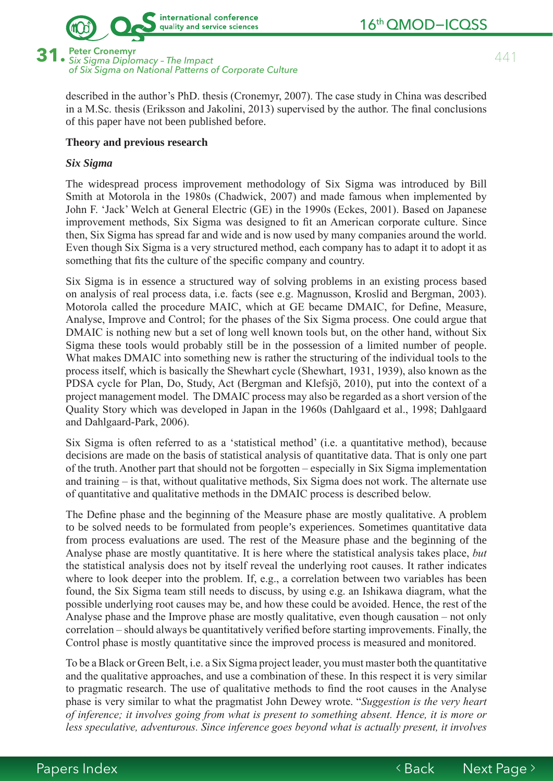

441

**Peter Cronemyr** 31 · Six Sigma Diplomacy - The Impact of Six Sigma on National Patterns of Corporate Culture

> described in the author's PhD, thesis (Cronemyr, 2007). The case study in China was described in a M.Sc. thesis (Eriksson and Jakolini, 2013) supervised by the author. The final conclusions of this paper have not been published before.

### Theory and previous research

#### Six Sigma

The widespread process improvement methodology of Six Sigma was introduced by Bill Smith at Motorola in the 1980s (Chadwick, 2007) and made famous when implemented by John F. 'Jack' Welch at General Electric (GE) in the 1990s (Eckes, 2001). Based on Japanese improvement methods, Six Sigma was designed to fit an American corporate culture. Since then, Six Sigma has spread far and wide and is now used by many companies around the world. Even though Six Sigma is a very structured method, each company has to adapt it to adopt it as something that fits the culture of the specific company and country.

Six Sigma is in essence a structured way of solving problems in an existing process based on analysis of real process data, *i.e.* facts (see e.g. Magnusson, Kroslid and Bergman, 2003). Motorola called the procedure MAIC, which at GE became DMAIC, for Define, Measure, Analyse, Improve and Control; for the phases of the Six Sigma process. One could argue that DMAIC is nothing new but a set of long well known tools but, on the other hand, without Six Sigma these tools would probably still be in the possession of a limited number of people. What makes DMAIC into something new is rather the structuring of the individual tools to the process itself, which is basically the Shewhart cycle (Shewhart, 1931, 1939), also known as the PDSA cycle for Plan, Do, Study, Act (Bergman and Klefsjö, 2010), put into the context of a project management model. The DMAIC process may also be regarded as a short version of the Quality Story which was developed in Japan in the 1960s (Dahlgaard et al., 1998; Dahlgaard and Dahlgaard-Park, 2006).

Six Sigma is often referred to as a 'statistical method' (i.e. a quantitative method), because decisions are made on the basis of statistical analysis of quantitative data. That is only one part of the truth. Another part that should not be forgotten – especially in Six Sigma implementation and training – is that, without qualitative methods, Six Sigma does not work. The alternate use of quantitative and qualitative methods in the DMAIC process is described below.

The Define phase and the beginning of the Measure phase are mostly qualitative. A problem to be solved needs to be formulated from people's experiences. Sometimes quantitative data from process evaluations are used. The rest of the Measure phase and the beginning of the Analyse phase are mostly quantitative. It is here where the statistical analysis takes place, but the statistical analysis does not by itself reveal the underlying root causes. It rather indicates where to look deeper into the problem. If, e.g., a correlation between two variables has been found, the Six Sigma team still needs to discuss, by using e.g. an Ishikawa diagram, what the possible underlying root causes may be, and how these could be avoided. Hence, the rest of the Analyse phase and the Improve phase are mostly qualitative, even though causation – not only correlation – should always be quantitatively verified before starting improvements. Finally, the Control phase is mostly quantitative since the improved process is measured and monitored.

To be a Black or Green Belt, *i.e.* a Six Sigma project leader, you must master both the quantitative and the qualitative approaches, and use a combination of these. In this respect it is very similar to pragmatic research. The use of qualitative methods to find the root causes in the Analyse phase is very similar to what the pragmatist John Dewey wrote. "Suggestion is the very heart of inference; it involves going from what is present to something absent. Hence, it is more or less speculative, adventurous. Since inference goes beyond what is actually present, it involves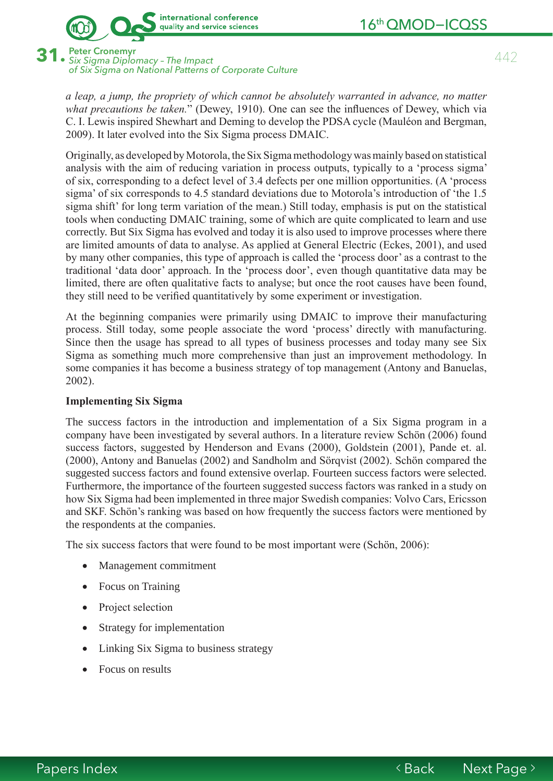

**Peter Cronemvr** · Six Sigma Diplomacy - The Impact of Six Sigma on National Patterns of Corporate Culture

a leap, a jump, the propriety of which cannot be absolutely warranted in advance, no matter what precautions be taken." (Dewey, 1910). One can see the influences of Dewey, which via C. I. Lewis inspired Shewhart and Deming to develop the PDSA cycle (Mauléon and Bergman, 2009). It later evolved into the Six Sigma process DMAIC.

Originally, as developed by Motorola, the Six Sigma methodology was mainly based on statistical analysis with the aim of reducing variation in process outputs, typically to a 'process sigma' of six, corresponding to a defect level of 3.4 defects per one million opportunities. (A 'process sigma' of six corresponds to 4.5 standard deviations due to Motorola's introduction of 'the 1.5 sigma shift' for long term variation of the mean.) Still today, emphasis is put on the statistical tools when conducting DMAIC training, some of which are quite complicated to learn and use correctly. But Six Sigma has evolved and today it is also used to improve processes where there are limited amounts of data to analyse. As applied at General Electric (Eckes, 2001), and used by many other companies, this type of approach is called the 'process door' as a contrast to the traditional 'data door' approach. In the 'process door', even though quantitative data may be limited, there are often qualitative facts to analyse; but once the root causes have been found, they still need to be verified quantitatively by some experiment or investigation.

At the beginning companies were primarily using DMAIC to improve their manufacturing process. Still today, some people associate the word 'process' directly with manufacturing. Since then the usage has spread to all types of business processes and today many see Six Sigma as something much more comprehensive than just an improvement methodology. In some companies it has become a business strategy of top management (Antony and Banuelas,  $2002$ ).

## **Implementing Six Sigma**

The success factors in the introduction and implementation of a Six Sigma program in a company have been investigated by several authors. In a literature review Schön (2006) found success factors, suggested by Henderson and Evans (2000), Goldstein (2001), Pande et. al. (2000), Antony and Banuelas (2002) and Sandholm and Sörqvist (2002). Schön compared the suggested success factors and found extensive overlap. Fourteen success factors were selected. Furthermore, the importance of the fourteen suggested success factors was ranked in a study on how Six Sigma had been implemented in three major Swedish companies: Volvo Cars, Ericsson and SKF. Schön's ranking was based on how frequently the success factors were mentioned by the respondents at the companies.

The six success factors that were found to be most important were (Schön, 2006):

- Management commitment  $\bullet$
- Focus on Training  $\bullet$
- Project selection  $\bullet$
- Strategy for implementation  $\bullet$
- Linking Six Sigma to business strategy
- Focus on results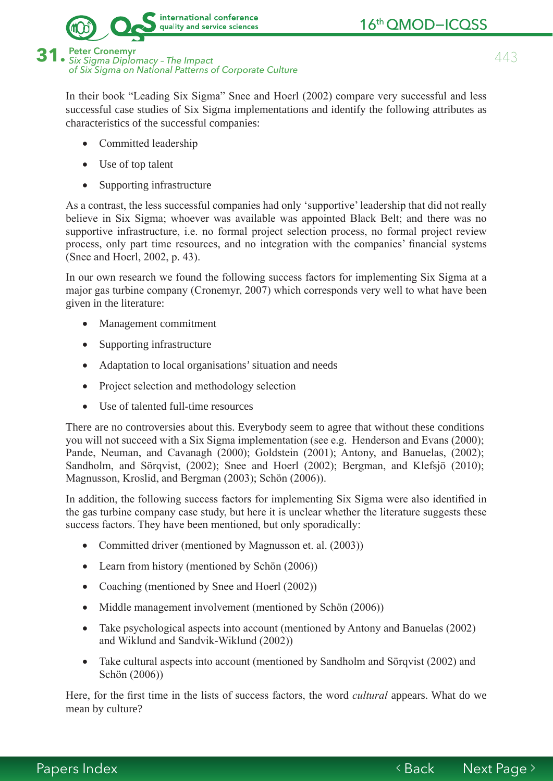

of Six Sigma on National Patterns of Corporate Culture

In their book "Leading Six Sigma" Snee and Hoerl (2002) compare very successful and less successful case studies of Six Sigma implementations and identify the following attributes as characteristics of the successful companies:

- Committed leadership
- Use of top talent
- Supporting infrastructure

As a contrast, the less successful companies had only 'supportive' leadership that did not really believe in Six Sigma; whoever was available was appointed Black Belt; and there was no supportive infrastructure, i.e. no formal project selection process, no formal project review process, only part time resources, and no integration with the companies' financial systems (Snee and Hoerl, 2002, p. 43).

In our own research we found the following success factors for implementing Six Sigma at a major gas turbine company (Cronemyr, 2007) which corresponds very well to what have been given in the literature:

- Management commitment
- Supporting infrastructure
- Adaptation to local organisations' situation and needs
- Project selection and methodology selection
- Use of talented full-time resources

There are no controversies about this. Everybody seem to agree that without these conditions you will not succeed with a Six Sigma implementation (see e.g. Henderson and Evans (2000); Pande, Neuman, and Cavanagh (2000); Goldstein (2001); Antony, and Banuelas, (2002); Sandholm, and Sörqvist, (2002); Snee and Hoerl (2002); Bergman, and Klefsjö (2010); Magnusson, Kroslid, and Bergman (2003); Schön (2006)).

In addition, the following success factors for implementing Six Sigma were also identified in the gas turbine company case study, but here it is unclear whether the literature suggests these success factors. They have been mentioned, but only sporadically:

- Committed driver (mentioned by Magnusson et. al. (2003))
- Learn from history (mentioned by Schön (2006))
- Coaching (mentioned by Snee and Hoerl (2002))
- Middle management involvement (mentioned by Schön (2006))
- Take psychological aspects into account (mentioned by Antony and Banuelas (2002) and Wiklund and Sandvik-Wiklund (2002))
- Take cultural aspects into account (mentioned by Sandholm and Sörgvist (2002) and Schön (2006))

Here, for the first time in the lists of success factors, the word *cultural* appears. What do we mean by culture?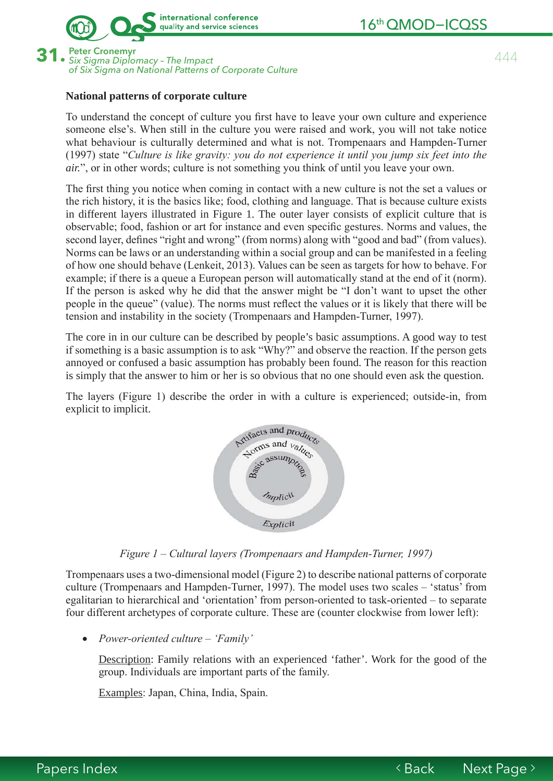

16<sup>th</sup> QMOD-ICQSS

**31.** 444 Peter Cronemyr *Six Sigma Diplomacy – The Impact* of Six Sigma on National Patterns of Corporate Culture

## **National patterns of corporate culture**

To understand the concept of culture you first have to leave your own culture and experience someone else's. When still in the culture you were raised and work, you will not take notice what behaviour is culturally determined and what is not. Trompenaars and Hampden-Turner (1997) state "Culture is like gravity: you do not experience it until you jump six feet into the *air.*", or in other words; culture is not something you think of until you leave your own.

The first thing you notice when coming in contact with a new culture is not the set a values or the rich history, it is the basics like; food, clothing and language. That is because culture exists in different layers illustrated in Figure 1. The outer layer consists of explicit culture that is observable; food, fashion or art for instance and even specific gestures. Norms and values, the second layer, defines "right and wrong" (from norms) along with "good and bad" (from values). Norms can be laws or an understanding within a social group and can be manifested in a feeling of how one should behave (Lenkeit, 2013). Values can be seen as targets for how to behave. For example; if there is a queue a European person will automatically stand at the end of it (norm). If the person is asked why he did that the answer might be "I don't want to upset the other people in the queue" (value). The norms must reflect the values or it is likely that there will be tension and instability in the society (Trompenaars and Hampden-Turner, 1997).

The core in in our culture can be described by people's basic assumptions. A good way to test if something is a basic assumption is to ask "Why?" and observe the reaction. If the person gets annoyed or confused a basic assumption has probably been found. The reason for this reaction is simply that the answer to him or her is so obvious that no one should even ask the question.

The layers (Figure 1) describe the order in with a culture is experienced; outside-in, from explicit to implicit.



*Figure 1 – Cultural lavers (Trompenaars and Hampden-Turner, 1997)* 

Trompenaars uses a two-dimensional model (Figure 2) to describe national patterns of corporate culture (Trompenaars and Hampden-Turner, 1997). The model uses two scales – 'status' from egalitarian to hierarchical and 'orientation' from person-oriented to task-oriented – to separate four different archetypes of corporate culture. These are (counter clockwise from lower left):

• *Power-oriented culture – 'Family'* 

Description: Family relations with an experienced 'father'. Work for the good of the group. Individuals are important parts of the family.

Examples: Japan, China, India, Spain.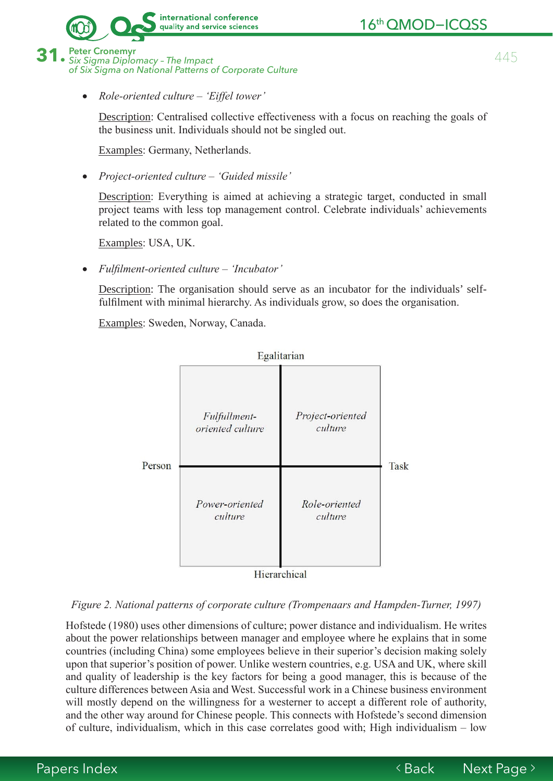

16th QMOD-ICQSS

445

**Peter Cronemvr** Six Sigma Diplomacy - The Impact of Six Sigma on National Patterns of Corporate Culture

Role-oriented culture – 'Eiffel tower'

Description: Centralised collective effectiveness with a focus on reaching the goals of the business unit. Individuals should not be singled out.

Examples: Germany, Netherlands.

• Project-oriented culture – 'Guided missile'

Description: Everything is aimed at achieving a strategic target, conducted in small project teams with less top management control. Celebrate individuals' achievements related to the common goal.

Examples: USA, UK.

Fulfilment-oriented culture – 'Incubator'

Description: The organisation should serve as an incubator for the individuals' selffulfilment with minimal hierarchy. As individuals grow, so does the organisation.

Examples: Sweden, Norway, Canada.



Hierarchical

## Figure 2. National patterns of corporate culture (Trompenaars and Hampden-Turner, 1997)

Hofstede (1980) uses other dimensions of culture; power distance and individualism. He writes about the power relationships between manager and employee where he explains that in some countries (including China) some employees believe in their superior's decision making solely upon that superior's position of power. Unlike western countries, e.g. USA and UK, where skill and quality of leadership is the key factors for being a good manager, this is because of the culture differences between Asia and West. Successful work in a Chinese business environment will mostly depend on the willingness for a westerner to accept a different role of authority, and the other way around for Chinese people. This connects with Hofstede's second dimension of culture, individualism, which in this case correlates good with; High individualism – low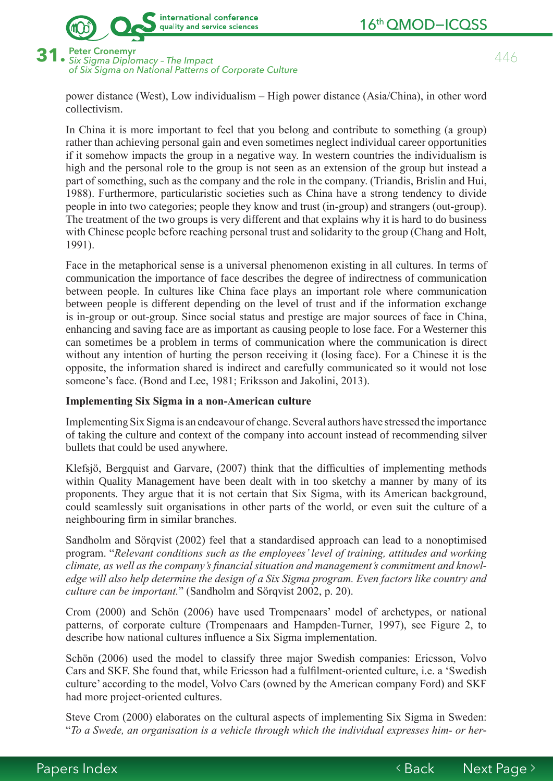



of Six Sigma on National Patterns of Corporate Culture

power distance (West), Low individualism – High power distance (Asia/China), in other word collectivism.

In China it is more important to feel that you belong and contribute to something (a group) rather than achieving personal gain and even sometimes neglect individual career opportunities If it somehow impacts the group in a negative way. In western countries the individualism is high and the personal role to the group is not seen as an extension of the group but instead a part of something, such as the company and the role in the company. (Triandis, Brislin and Hui, 1988). Furthermore, particularistic societies such as China have a strong tendency to divide people in into two categories; people they know and trust (in-group) and strangers (out-group). The treatment of the two groups is very different and that explains why it is hard to do business with Chinese people before reaching personal trust and solidarity to the group (Chang and Holt, 1991).

Face in the metaphorical sense is a universal phenomenon existing in all cultures. In terms of communication the importance of face describes the degree of indirectness of communication between people. In cultures like China face plays an important role where communication between people is different depending on the level of trust and if the information exchange is in-group or out-group. Since social status and prestige are major sources of face in China, enhancing and saving face are as important as causing people to lose face. For a Westerner this can sometimes be a problem in terms of communication where the communication is direct without any intention of hurting the person receiving it (losing face). For a Chinese it is the opposite, the information shared is indirect and carefully communicated so it would not lose someone's face. (Bond and Lee, 1981; Eriksson and Jakolini, 2013).

#### **Implementing Six Sigma in a non-American culture**

Implementing Six Sigma is an endeavour of change. Several authors have stressed the importance of taking the culture and context of the company into account instead of recommending silver bullets that could be used anywhere.

Klefsjö, Bergquist and Garvare, (2007) think that the difficulties of implementing methods within Quality Management have been dealt with in too sketchy a manner by many of its proponents. They argue that it is not certain that Six Sigma, with its American background. could seamlessly suit organisations in other parts of the world, or even suit the culture of a neighbouring firm in similar branches.

Sandholm and Sörqvist (2002) feel that a standardised approach can lead to a nonoptimised program. "Relevant conditions such as the employees' level of training, attitudes and working *Folfaure as well as the company's financial situation and management's commitment and knowledge will also help determine the design of a Six Sigma program. Even factors like country and culture can be important.*" (Sandholm and Sörqvist 2002, p. 20).

Crom (2000) and Schön (2006) have used Trompenaars' model of archetypes, or national patterns, of corporate culture (Trompenaars and Hampden-Turner, 1997), see Figure 2, to describe how national cultures influence a Six Sigma implementation.

Schön (2006) used the model to classify three major Swedish companies: Ericsson, Volvo Cars and SKF. She found that, while Ericsson had a fulfilment-oriented culture, i.e. a 'Swedish culture' according to the model, Volvo Cars (owned by the American company Ford) and SKF had more project-oriented cultures.

Steve Crom (2000) elaborates on the cultural aspects of implementing Six Sigma in Sweden: *<sup>a</sup>To a Swede, an organisation is a vehicle through which the individual expresses him- or her-*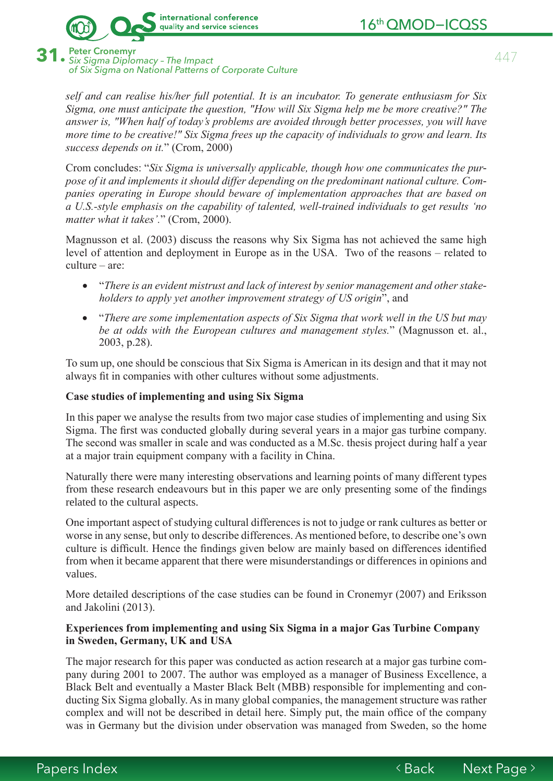

**Peter Cronemvr** · Six Sigma Diplomacy - The Impact of Six Sigma on National Patterns of Corporate Culture

self and can realise his/her full potential. It is an incubator. To generate enthusiasm for Six Sigma, one must anticipate the question, "How will Six Sigma help me be more creative?" The answer is, "When half of today's problems are avoided through better processes, you will have more time to be creative!" Six Sigma frees up the capacity of individuals to grow and learn. Its success depends on it." (Crom, 2000)

Crom concludes: "Six Sigma is universally applicable, though how one communicates the purpose of it and implements it should differ depending on the predominant national culture. Companies operating in Europe should beware of implementation approaches that are based on a U.S.-style emphasis on the capability of talented, well-trained individuals to get results 'no matter what it takes'." (Crom, 2000).

Magnusson et al. (2003) discuss the reasons why Six Sigma has not achieved the same high level of attention and deployment in Europe as in the USA. Two of the reasons – related to  $culture - are$ 

- "There is an evident mistrust and lack of interest by senior management and other stakeholders to apply yet another improvement strategy of US origin", and
- "There are some implementation aspects of Six Sigma that work well in the US but may be at odds with the European cultures and management styles." (Magnusson et. al.,  $2003$ , p.28).

To sum up, one should be conscious that Six Sigma is American in its design and that it may not always fit in companies with other cultures without some adjustments.

## Case studies of implementing and using Six Sigma

In this paper we analyse the results from two major case studies of implementing and using Six Sigma. The first was conducted globally during several years in a major gas turbine company. The second was smaller in scale and was conducted as a M.Sc. thesis project during half a year at a major train equipment company with a facility in China.

Naturally there were many interesting observations and learning points of many different types from these research endeavours but in this paper we are only presenting some of the findings related to the cultural aspects.

One important aspect of studying cultural differences is not to judge or rank cultures as better or worse in any sense, but only to describe differences. As mentioned before, to describe one's own culture is difficult. Hence the findings given below are mainly based on differences identified from when it became apparent that there were misunderstandings or differences in opinions and values.

More detailed descriptions of the case studies can be found in Cronemyr (2007) and Eriksson and Jakolini (2013).

## Experiences from implementing and using Six Sigma in a major Gas Turbine Company in Sweden, Germany, UK and USA

The major research for this paper was conducted as action research at a major gas turbine company during 2001 to 2007. The author was employed as a manager of Business Excellence, a Black Belt and eventually a Master Black Belt (MBB) responsible for implementing and conducting Six Sigma globally. As in many global companies, the management structure was rather complex and will not be described in detail here. Simply put, the main office of the company was in Germany but the division under observation was managed from Sweden, so the home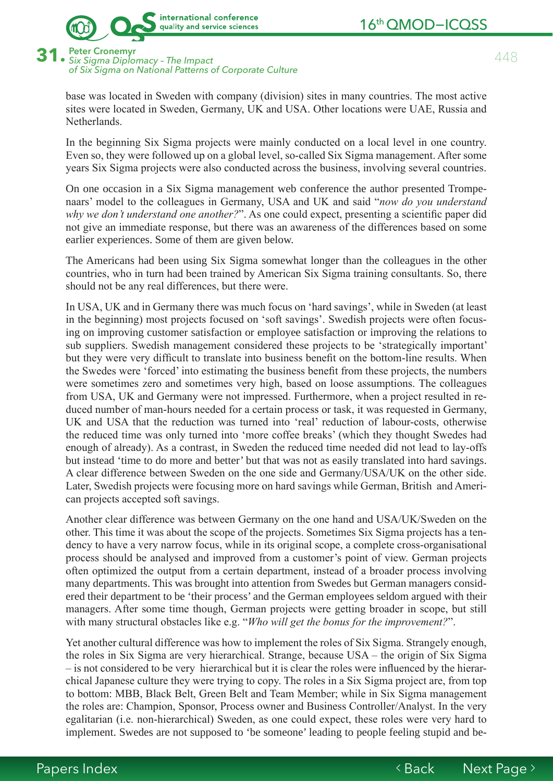

**31.** 448 Peter Cronemyr *Six Sigma Diplomacy – The Impact* of Six Sigma on National Patterns of Corporate Culture

base was located in Sweden with company (division) sites in many countries. The most active sites were located in Sweden, Germany, UK and USA. Other locations were UAE, Russia and Netherlands

In the beginning Six Sigma projects were mainly conducted on a local level in one country. Even so, they were followed up on a global level, so-called Six Sigma management. After some  $\chi$  vears Six Sigma projects were also conducted across the business, involving several countries.

On one occasion in a Six Sigma management web conference the author presented Trompenaars' model to the colleagues in Germany, USA and UK and said "now do you understand *why we don't understand one another?*". As one could expect, presenting a scientific paper did not give an immediate response, but there was an awareness of the differences based on some earlier experiences. Some of them are given below.

The Americans had been using Six Sigma somewhat longer than the colleagues in the other countries, who in turn had been trained by American Six Sigma training consultants. So, there should not be any real differences, but there were.

In USA, UK and in Germany there was much focus on 'hard savings', while in Sweden (at least in the beginning) most projects focused on 'soft savings'. Swedish projects were often focusing on improving customer satisfaction or employee satisfaction or improving the relations to sub suppliers. Swedish management considered these projects to be 'strategically important' but they were very difficult to translate into business benefit on the bottom-line results. When the Swedes were 'forced' into estimating the business benefit from these projects, the numbers were sometimes zero and sometimes very high, based on loose assumptions. The colleagues from USA, UK and Germany were not impressed. Furthermore, when a project resulted in reduced number of man-hours needed for a certain process or task, it was requested in Germany, UK and USA that the reduction was turned into 'real' reduction of labour-costs, otherwise the reduced time was only turned into 'more coffee breaks' (which they thought Swedes had enough of already). As a contrast, in Sweden the reduced time needed did not lead to lay-offs but instead 'time to do more and better' but that was not as easily translated into hard savings. A clear difference between Sweden on the one side and Germany/USA/UK on the other side. Later, Swedish projects were focusing more on hard savings while German, British and American projects accepted soft savings.

Another clear difference was between Germany on the one hand and USA/UK/Sweden on the other. This time it was about the scope of the projects. Sometimes Six Sigma projects has a tendency to have a very narrow focus, while in its original scope, a complete cross-organisational process should be analysed and improved from a customer's point of view. German projects often optimized the output from a certain department, instead of a broader process involving many departments. This was brought into attention from Swedes but German managers considered their department to be 'their process' and the German employees seldom argued with their managers. After some time though, German projects were getting broader in scope, but still with many structural obstacles like e.g. "Who will get the bonus for the improvement?".

Yet another cultural difference was how to implement the roles of Six Sigma. Strangely enough, the roles in Six Sigma are very hierarchical. Strange, because USA – the origin of Six Sigma  $-$  is not considered to be very hierarchical but it is clear the roles were influenced by the hierarchical Japanese culture they were trying to copy. The roles in a Six Sigma project are, from top to bottom: MBB, Black Belt, Green Belt and Team Member; while in Six Sigma management the roles are: Champion, Sponsor, Process owner and Business Controller/Analyst. In the very egalitarian (i.e. non-hierarchical) Sweden, as one could expect, these roles were very hard to implement. Swedes are not supposed to 'be someone' leading to people feeling stupid and be-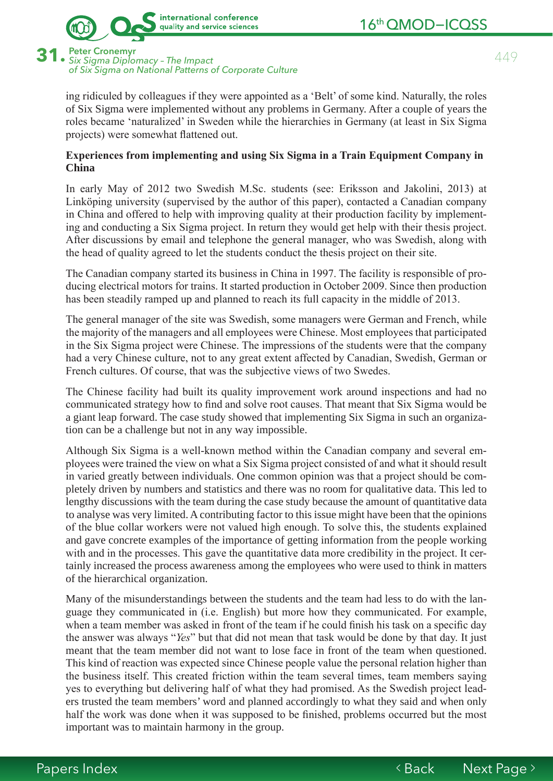



**31.** 449 Peter Cronemyr *Six Sigma Diplomacy – The Impact* of Six Sigma on National Patterns of Corporate Culture

ing ridiculed by colleagues if they were appointed as a 'Belt' of some kind. Naturally, the roles of Six Sigma were implemented without any problems in Germany. After a couple of years the roles became 'naturalized' in Sweden while the hierarchies in Germany (at least in Six Sigma projects) were somewhat flattened out.

### **Experiences from implementing and using Six Sigma in a Train Equipment Company in China**

In early May of 2012 two Swedish M.Sc. students (see: Eriksson and Jakolini, 2013) at Linköping university (supervised by the author of this paper), contacted a Canadian company in China and offered to help with improving quality at their production facility by implementing and conducting a Six Sigma project. In return they would get help with their thesis project. After discussions by email and telephone the general manager, who was Swedish, along with the head of quality agreed to let the students conduct the thesis project on their site.

The Canadian company started its business in China in 1997. The facility is responsible of producing electrical motors for trains. It started production in October 2009. Since then production has been steadily ramped up and planned to reach its full capacity in the middle of 2013.

The general manager of the site was Swedish, some managers were German and French, while the majority of the managers and all employees were Chinese. Most employees that participated in the Six Sigma project were Chinese. The impressions of the students were that the company had a very Chinese culture, not to any great extent affected by Canadian, Swedish, German or French cultures. Of course, that was the subjective views of two Swedes.

The Chinese facility had built its quality improvement work around inspections and had no communicated strategy how to find and solve root causes. That meant that Six Sigma would be a giant leap forward. The case study showed that implementing Six Sigma in such an organization can be a challenge but not in any way impossible.

Although Six Sigma is a well-known method within the Canadian company and several employees were trained the view on what a Six Sigma project consisted of and what it should result in varied greatly between individuals. One common opinion was that a project should be completely driven by numbers and statistics and there was no room for qualitative data. This led to lengthy discussions with the team during the case study because the amount of quantitative data to analyse was very limited. A contributing factor to this issue might have been that the opinions of the blue collar workers were not valued high enough. To solve this, the students explained and gave concrete examples of the importance of getting information from the people working with and in the processes. This gave the quantitative data more credibility in the project. It certainly increased the process awareness among the employees who were used to think in matters of the hierarchical organization.

Many of the misunderstandings between the students and the team had less to do with the language they communicated in (i.e. English) but more how they communicated. For example, when a team member was asked in front of the team if he could finish his task on a specific day the answer was always "Yes" but that did not mean that task would be done by that day. It just meant that the team member did not want to lose face in front of the team when questioned. This kind of reaction was expected since Chinese people value the personal relation higher than the business itself. This created friction within the team several times, team members saving yes to everything but delivering half of what they had promised. As the Swedish project leaders trusted the team members' word and planned accordingly to what they said and when only half the work was done when it was supposed to be finished, problems occurred but the most important was to maintain harmony in the group.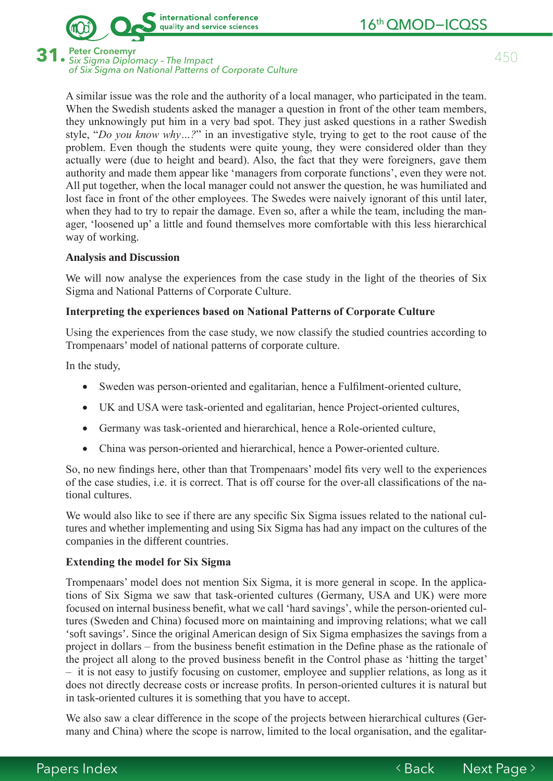



31. Peter Cronemyr<br>31. Six Sigma Diplomacy - The Impact **Peter Cronemvr** of Six Sigma on National Patterns of Corporate Culture

> A similar issue was the role and the authority of a local manager, who participated in the team. When the Swedish students asked the manager a question in front of the other team members, they unknowingly put him in a very bad spot. They just asked questions in a rather Swedish style, "Do you know why...?" in an investigative style, trying to get to the root cause of the problem. Even though the students were quite young, they were considered older than they actually were (due to height and beard). Also, the fact that they were foreigners, gave them authority and made them appear like 'managers from corporate functions', even they were not. All put together, when the local manager could not answer the question, he was humiliated and lost face in front of the other employees. The Swedes were naively ignorant of this until later, when they had to try to repair the damage. Even so, after a while the team, including the manager, 'loosened up' a little and found themselves more comfortable with this less hierarchical way of working.

#### **Analysis and Discussion**

We will now analyse the experiences from the case study in the light of the theories of Six Sigma and National Patterns of Corporate Culture.

#### Interpreting the experiences based on National Patterns of Corporate Culture

Using the experiences from the case study, we now classify the studied countries according to Trompenaars' model of national patterns of corporate culture.

In the study,

- Sweden was person-oriented and egalitarian, hence a Fulfilment-oriented culture,
- UK and USA were task-oriented and egalitarian, hence Project-oriented cultures,
- Germany was task-oriented and hierarchical, hence a Role-oriented culture,
- China was person-oriented and hierarchical, hence a Power-oriented culture.

So, no new findings here, other than that Trompenaars' model fits very well to the experiences of the case studies, i.e. it is correct. That is off course for the over-all classifications of the national cultures.

We would also like to see if there are any specific Six Sigma issues related to the national cultures and whether implementing and using Six Sigma has had any impact on the cultures of the companies in the different countries.

#### **Extending the model for Six Sigma**

Trompenaars' model does not mention Six Sigma, it is more general in scope. In the applications of Six Sigma we saw that task-oriented cultures (Germany, USA and UK) were more focused on internal business benefit, what we call 'hard savings', while the person-oriented cultures (Sweden and China) focused more on maintaining and improving relations; what we call 'soft savings'. Since the original American design of Six Sigma emphasizes the savings from a project in dollars – from the business benefit estimation in the Define phase as the rationale of the project all along to the proved business benefit in the Control phase as 'hitting the target' - it is not easy to justify focusing on customer, employee and supplier relations, as long as it does not directly decrease costs or increase profits. In person-oriented cultures it is natural but in task-oriented cultures it is something that you have to accept.

We also saw a clear difference in the scope of the projects between hierarchical cultures (Germany and China) where the scope is narrow, limited to the local organisation, and the egalitar-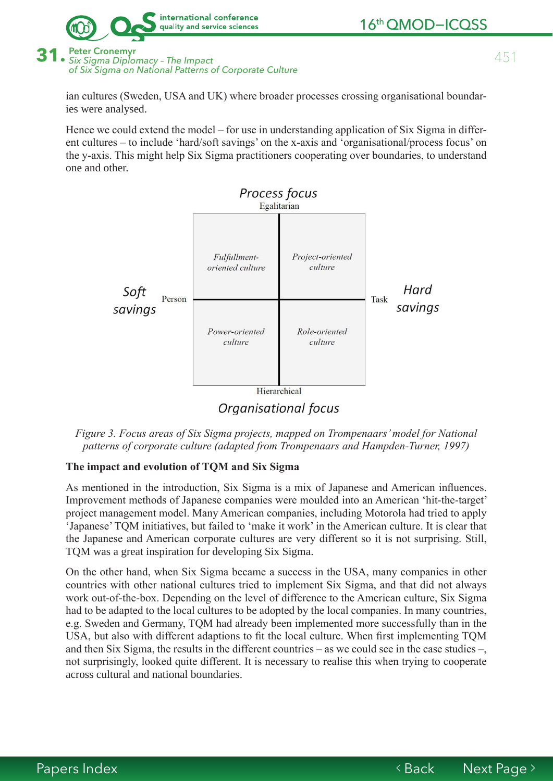



Six Sigma Diplomacy - The Impact of Six Sigma on National Patterns of Corporate Culture

ian cultures (Sweden, USA and UK) where broader processes crossing organisational boundaries were analysed.

Hence we could extend the model – for use in understanding application of Six Sigma in different cultures – to include 'hard/soft savings' on the x-axis and 'organisational/process focus' on the y-axis. This might help Six Sigma practitioners cooperating over boundaries, to understand one and other.



Figure 3. Focus areas of Six Sigma projects, mapped on Trompenaars' model for National patterns of corporate culture (adapted from Trompenaars and Hampden-Turner, 1997)

## The impact and evolution of TQM and Six Sigma

As mentioned in the introduction, Six Sigma is a mix of Japanese and American influences. Improvement methods of Japanese companies were moulded into an American 'hit-the-target' project management model. Many American companies, including Motorola had tried to apply 'Japanese' TQM initiatives, but failed to 'make it work' in the American culture. It is clear that the Japanese and American corporate cultures are very different so it is not surprising. Still, TQM was a great inspiration for developing Six Sigma.

On the other hand, when Six Sigma became a success in the USA, many companies in other countries with other national cultures tried to implement Six Sigma, and that did not always work out-of-the-box. Depending on the level of difference to the American culture, Six Sigma had to be adapted to the local cultures to be adopted by the local companies. In many countries, e.g. Sweden and Germany, TQM had already been implemented more successfully than in the USA, but also with different adaptions to fit the local culture. When first implementing TQM and then Six Sigma, the results in the different countries – as we could see in the case studies –, not surprisingly, looked quite different. It is necessary to realise this when trying to cooperate across cultural and national boundaries.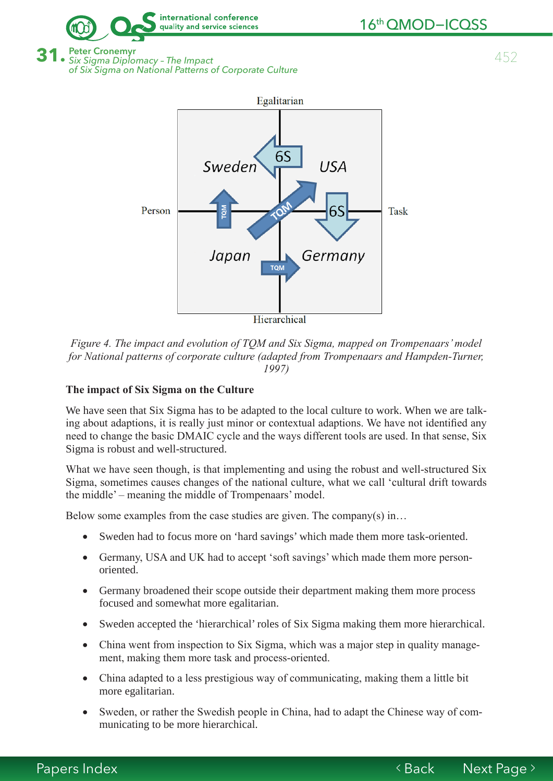

**Peter Cronemvr** Six Sigma Diplomacy - The Impact of Six Sigma on National Patterns of Corporate Culture



Figure 4. The impact and evolution of TOM and Six Sigma, mapped on Trompenaars' model for National patterns of corporate culture (adapted from Trompenaars and Hampden-Turner, 1997)

### The impact of Six Sigma on the Culture

We have seen that Six Sigma has to be adapted to the local culture to work. When we are talking about adaptions, it is really just minor or contextual adaptions. We have not identified any need to change the basic DMAIC cycle and the ways different tools are used. In that sense, Six Sigma is robust and well-structured.

What we have seen though, is that implementing and using the robust and well-structured Six Sigma, sometimes causes changes of the national culture, what we call 'cultural drift towards the middle' – meaning the middle of Trompenaars' model.

Below some examples from the case studies are given. The company(s) in...

- Sweden had to focus more on 'hard savings' which made them more task-oriented.
- Germany, USA and UK had to accept 'soft savings' which made them more personoriented.
- Germany broadened their scope outside their department making them more process focused and somewhat more egalitarian.
- Sweden accepted the 'hierarchical' roles of Six Sigma making them more hierarchical.  $\bullet$
- China went from inspection to Six Sigma, which was a major step in quality manage- $\bullet$ ment, making them more task and process-oriented.
- China adapted to a less prestigious way of communicating, making them a little bit  $\bullet$ more egalitarian.
- Sweden, or rather the Swedish people in China, had to adapt the Chinese way of com- $\bullet$ municating to be more hierarchical.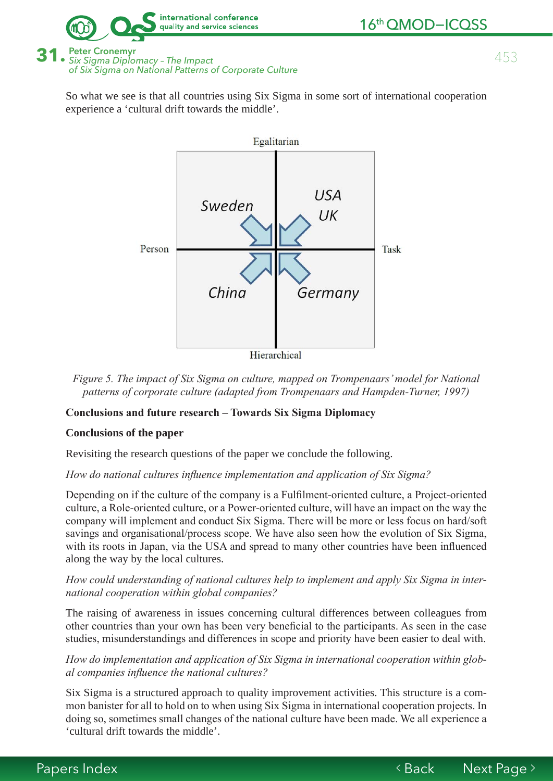

453

**Peter Cronemvr** Six Sigma Diplomacy - The Impact of Six Sigma on National Patterns of Corporate Culture

So what we see is that all countries using Six Sigma in some sort of international cooperation experience a 'cultural drift towards the middle'.



Figure 5. The impact of Six Sigma on culture, mapped on Trompenaars' model for National patterns of corporate culture (adapted from Trompenaars and Hampden-Turner, 1997)

## **Conclusions and future research - Towards Six Sigma Diplomacy**

## **Conclusions of the paper**

Revisiting the research questions of the paper we conclude the following.

## How do national cultures influence implementation and application of Six Sigma?

Depending on if the culture of the company is a Fulfilment-oriented culture, a Project-oriented culture, a Role-oriented culture, or a Power-oriented culture, will have an impact on the way the company will implement and conduct Six Sigma. There will be more or less focus on hard/soft savings and organisational/process scope. We have also seen how the evolution of Six Sigma, with its roots in Japan, via the USA and spread to many other countries have been influenced along the way by the local cultures.

## How could understanding of national cultures help to implement and apply Six Sigma in international cooperation within global companies?

The raising of awareness in issues concerning cultural differences between colleagues from other countries than your own has been very beneficial to the participants. As seen in the case studies, misunderstandings and differences in scope and priority have been easier to deal with.

## How do implementation and application of Six Sigma in international cooperation within global companies influence the national cultures?

Six Sigma is a structured approach to quality improvement activities. This structure is a common banister for all to hold on to when using Six Sigma in international cooperation projects. In doing so, sometimes small changes of the national culture have been made. We all experience a 'cultural drift towards the middle'.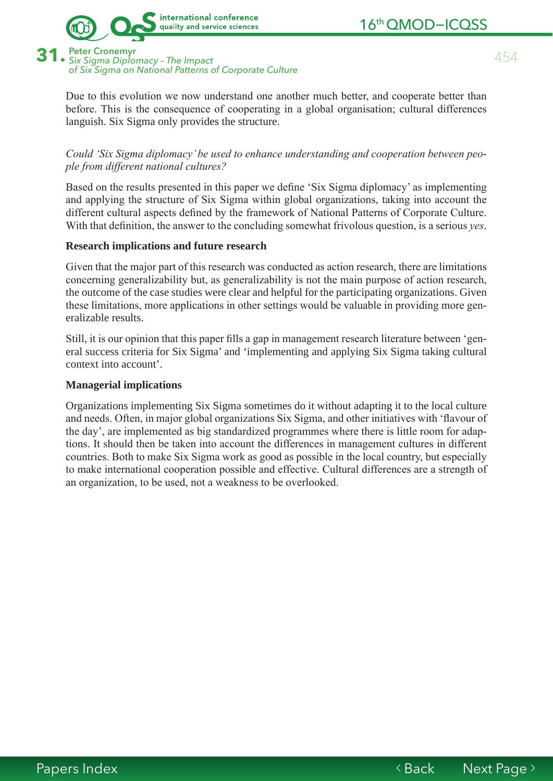

454

**Peter Cronemvr** · Six Sigma Diplomacy - The Impact of Six Sigma on National Patterns of Corporate Culture

Due to this evolution we now understand one another much better, and cooperate better than before. This is the consequence of cooperating in a global organisation; cultural differences languish. Six Sigma only provides the structure.

### Could 'Six Sigma diplomacy' be used to enhance understanding and cooperation between people from different national cultures?

Based on the results presented in this paper we define 'Six Sigma diplomacy' as implementing and applying the structure of Six Sigma within global organizations, taking into account the different cultural aspects defined by the framework of National Patterns of Corporate Culture. With that definition, the answer to the concluding somewhat frivolous question, is a serious *yes*.

### **Research implications and future research**

Given that the major part of this research was conducted as action research, there are limitations concerning generalizability but, as generalizability is not the main purpose of action research. the outcome of the case studies were clear and helpful for the participating organizations. Given these limitations, more applications in other settings would be valuable in providing more generalizable results.

Still, it is our opinion that this paper fills a gap in management research literature between 'general success criteria for Six Sigma' and 'implementing and applying Six Sigma taking cultural context into account'.

#### **Managerial implications**

Organizations implementing Six Sigma sometimes do it without adapting it to the local culture and needs. Often, in major global organizations Six Sigma, and other initiatives with 'flavour of the day', are implemented as big standardized programmes where there is little room for adaptions. It should then be taken into account the differences in management cultures in different countries. Both to make Six Sigma work as good as possible in the local country, but especially to make international cooperation possible and effective. Cultural differences are a strength of an organization, to be used, not a weakness to be overlooked.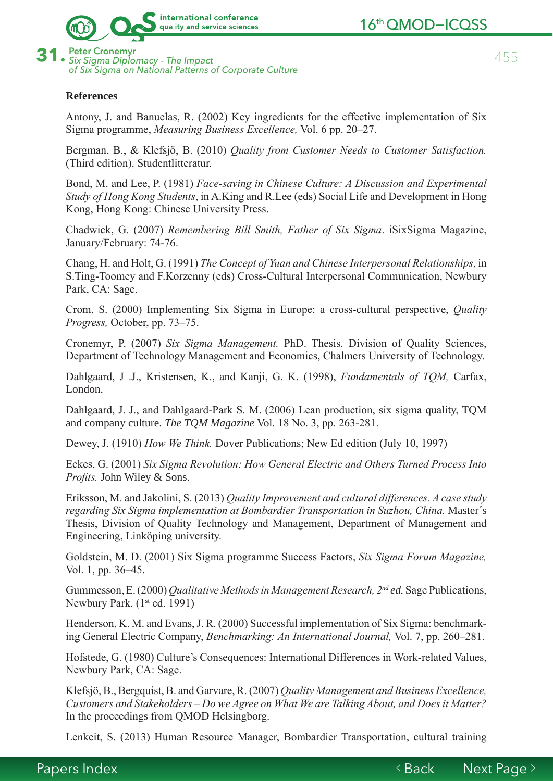

of Six Sigma on National Patterns of Corporate Culture

455

## **References**

Antony, J. and Banuelas, R. (2002) Key ingredients for the effective implementation of Six Sigma programme. Measuring Business Excellence, Vol. 6 pp. 20–27.

Bergman, B., & Klefsjö, B. (2010) Quality from Customer Needs to Customer Satisfaction. (Third edition). Studentlitteratur.

Bond, M. and Lee, P. (1981) Face-saving in Chinese Culture: A Discussion and Experimental Study of Hong Kong Students, in A.King and R.Lee (eds) Social Life and Development in Hong Kong, Hong Kong: Chinese University Press.

Chadwick, G. (2007) Remembering Bill Smith, Father of Six Sigma. iSixSigma Magazine, January/February: 74-76.

Chang, H. and Holt, G. (1991) The Concept of Yuan and Chinese Interpersonal Relationships, in S. Ting-Toomey and F. Korzenny (eds) Cross-Cultural Interpersonal Communication, Newbury Park, CA: Sage.

Crom, S. (2000) Implementing Six Sigma in Europe: a cross-cultural perspective, *Quality Progress*, October, pp. 73–75.

Cronemyr, P. (2007) Six Sigma Management. PhD. Thesis. Division of Quality Sciences, Department of Technology Management and Economics, Chalmers University of Technology.

Dahlgaard, J.J., Kristensen, K., and Kanji, G. K. (1998), Fundamentals of TOM, Carfax, London.

Dahlgaard, J. J., and Dahlgaard-Park S. M. (2006) Lean production, six sigma quality, TQM and company culture. The TOM Magazine Vol. 18 No. 3, pp. 263-281.

Dewey, J. (1910) How We Think. Dover Publications; New Ed edition (July 10, 1997)

Eckes, G. (2001) Six Sigma Revolution: How General Electric and Others Turned Process Into Profits. John Wiley & Sons.

Eriksson, M. and Jakolini, S. (2013) Quality Improvement and cultural differences. A case study regarding Six Sigma implementation at Bombardier Transportation in Suzhou, China. Master's Thesis, Division of Quality Technology and Management, Department of Management and Engineering, Linköping university.

Goldstein, M. D. (2001) Six Sigma programme Success Factors, Six Sigma Forum Magazine, Vol. 1, pp. 36–45.

Gummesson, E. (2000) Qualitative Methods in Management Research, 2<sup>nd</sup> ed. Sage Publications, Newbury Park.  $(1<sup>st</sup>$  ed. 1991)

Henderson, K. M. and Evans, J. R. (2000) Successful implementation of Six Sigma: benchmarking General Electric Company, Benchmarking: An International Journal, Vol. 7, pp. 260–281.

Hofstede, G. (1980) Culture's Consequences: International Differences in Work-related Values, Newbury Park, CA: Sage.

Klefsjö, B., Bergquist, B. and Garvare, R. (2007) Quality Management and Business Excellence, Customers and Stakeholders – Do we Agree on What We are Talking About, and Does it Matter? In the proceedings from QMOD Helsingborg.

Lenkeit, S. (2013) Human Resource Manager, Bombardier Transportation, cultural training